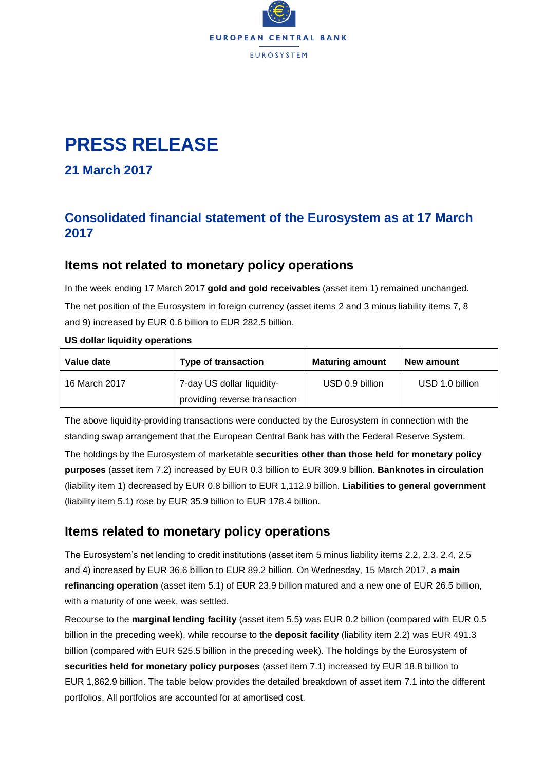

# **PRESS RELEASE**

**21 March 2017**

## **Consolidated financial statement of the Eurosystem as at 17 March 2017**

## **Items not related to monetary policy operations**

In the week ending 17 March 2017 **gold and gold receivables** (asset item 1) remained unchanged. The net position of the Eurosystem in foreign currency (asset items 2 and 3 minus liability items 7, 8 and 9) increased by EUR 0.6 billion to EUR 282.5 billion.

#### **US dollar liquidity operations**

| Value date    | <b>Type of transaction</b>    | <b>Maturing amount</b> | New amount      |  |
|---------------|-------------------------------|------------------------|-----------------|--|
| 16 March 2017 | 7-day US dollar liquidity-    | USD 0.9 billion        | USD 1.0 billion |  |
|               | providing reverse transaction |                        |                 |  |

The above liquidity-providing transactions were conducted by the Eurosystem in connection with the standing swap arrangement that the European Central Bank has with the Federal Reserve System.

The holdings by the Eurosystem of marketable **securities other than those held for monetary policy purposes** (asset item 7.2) increased by EUR 0.3 billion to EUR 309.9 billion. **Banknotes in circulation** (liability item 1) decreased by EUR 0.8 billion to EUR 1,112.9 billion. **Liabilities to general government** (liability item 5.1) rose by EUR 35.9 billion to EUR 178.4 billion.

## **Items related to monetary policy operations**

The Eurosystem's net lending to credit institutions (asset item 5 minus liability items 2.2, 2.3, 2.4, 2.5 and 4) increased by EUR 36.6 billion to EUR 89.2 billion. On Wednesday, 15 March 2017, a **main refinancing operation** (asset item 5.1) of EUR 23.9 billion matured and a new one of EUR 26.5 billion, with a maturity of one week, was settled.

Recourse to the **marginal lending facility** (asset item 5.5) was EUR 0.2 billion (compared with EUR 0.5 billion in the preceding week), while recourse to the **deposit facility** (liability item 2.2) was EUR 491.3 billion (compared with EUR 525.5 billion in the preceding week). The holdings by the Eurosystem of **securities held for monetary policy purposes** (asset item 7.1) increased by EUR 18.8 billion to EUR 1,862.9 billion. The table below provides the detailed breakdown of asset item 7.1 into the different portfolios. All portfolios are accounted for at amortised cost.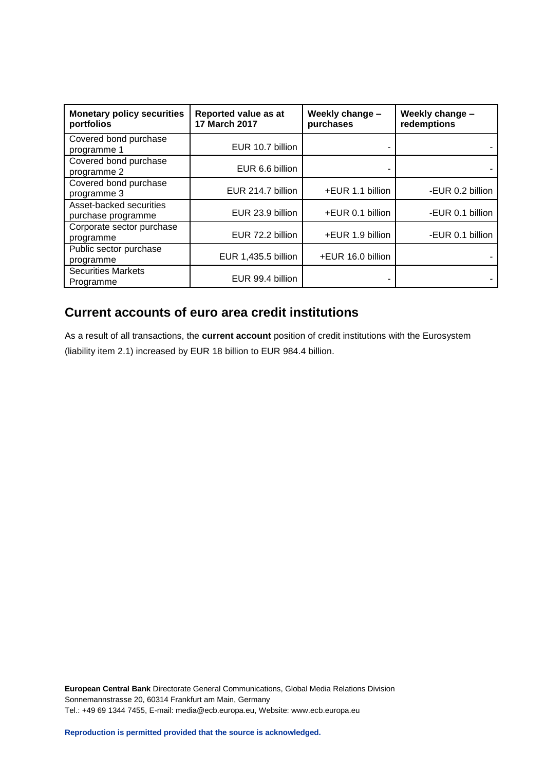| <b>Monetary policy securities</b><br>portfolios | Reported value as at<br>17 March 2017 | Weekly change -<br>purchases | Weekly change -<br>redemptions |  |
|-------------------------------------------------|---------------------------------------|------------------------------|--------------------------------|--|
| Covered bond purchase<br>programme 1            | EUR 10.7 billion                      |                              |                                |  |
| Covered bond purchase<br>programme 2            | EUR 6.6 billion                       |                              |                                |  |
| Covered bond purchase<br>programme 3            | EUR 214.7 billion                     | +EUR 1.1 billion             | -EUR 0.2 billion               |  |
| Asset-backed securities<br>purchase programme   | EUR 23.9 billion                      | +EUR 0.1 billion             | -EUR 0.1 billion               |  |
| Corporate sector purchase<br>programme          | EUR 72.2 billion                      | +EUR 1.9 billion             | -EUR 0.1 billion               |  |
| Public sector purchase<br>programme             | EUR 1,435.5 billion                   | +EUR 16.0 billion            |                                |  |
| <b>Securities Markets</b><br>Programme          | EUR 99.4 billion                      |                              |                                |  |

# **Current accounts of euro area credit institutions**

As a result of all transactions, the **current account** position of credit institutions with the Eurosystem (liability item 2.1) increased by EUR 18 billion to EUR 984.4 billion.

**European Central Bank** Directorate General Communications, Global Media Relations Division Sonnemannstrasse 20, 60314 Frankfurt am Main, Germany Tel.: +49 69 1344 7455, E-mail: media@ecb.europa.eu, Website: www.ecb.europa.eu